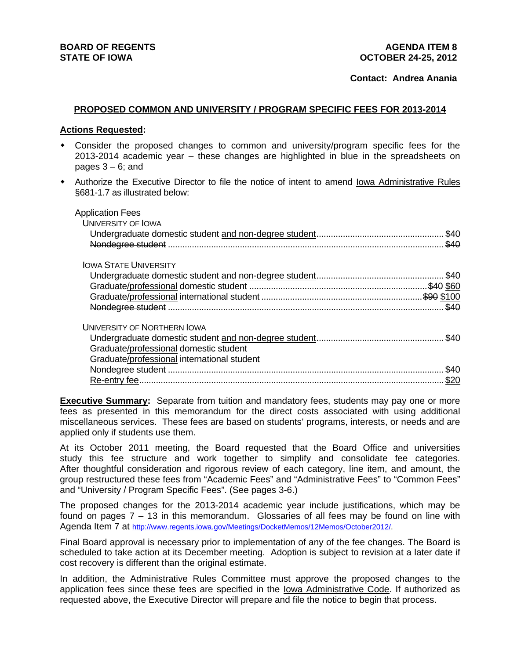## **Contact: Andrea Anania**

### **PROPOSED COMMON AND UNIVERSITY / PROGRAM SPECIFIC FEES FOR 2013-2014**

#### **Actions Requested:**

- Consider the proposed changes to common and university/program specific fees for the 2013-2014 academic year – these changes are highlighted in blue in the spreadsheets on pages  $3 - 6$ ; and
- Authorize the Executive Director to file the notice of intent to amend Iowa Administrative Rules §681-1.7 as illustrated below:

| <b>Application Fees</b>                     |          |
|---------------------------------------------|----------|
| <b>UNIVERSITY OF IOWA</b>                   |          |
|                                             | \$40     |
| Nondegree student                           | \$40     |
| <b>IOWA STATE UNIVERSITY</b>                |          |
|                                             | \$40     |
|                                             | 540 \$60 |
|                                             |          |
|                                             |          |
| <b>UNIVERSITY OF NORTHERN IOWA</b>          |          |
|                                             | \$40     |
| Graduate/professional domestic student      |          |
| Graduate/professional international student |          |
|                                             | \$40     |
|                                             | \$20     |
|                                             |          |

**Executive Summary:** Separate from tuition and mandatory fees, students may pay one or more fees as presented in this memorandum for the direct costs associated with using additional miscellaneous services. These fees are based on students' programs, interests, or needs and are applied only if students use them.

At its October 2011 meeting, the Board requested that the Board Office and universities study this fee structure and work together to simplify and consolidate fee categories. After thoughtful consideration and rigorous review of each category, line item, and amount, the group restructured these fees from "Academic Fees" and "Administrative Fees" to "Common Fees" and "University / Program Specific Fees". (See pages 3-6.)

The proposed changes for the 2013-2014 academic year include justifications, which may be found on pages 7 – 13 in this memorandum. Glossaries of all fees may be found on line with Agenda Item 7 at http://www.regents.iowa.gov/Meetings/DocketMemos/12Memos/October2012/.

Final Board approval is necessary prior to implementation of any of the fee changes. The Board is scheduled to take action at its December meeting. Adoption is subject to revision at a later date if cost recovery is different than the original estimate.

In addition, the Administrative Rules Committee must approve the proposed changes to the application fees since these fees are specified in the <u>Iowa Administrative Code</u>. If authorized as requested above, the Executive Director will prepare and file the notice to begin that process.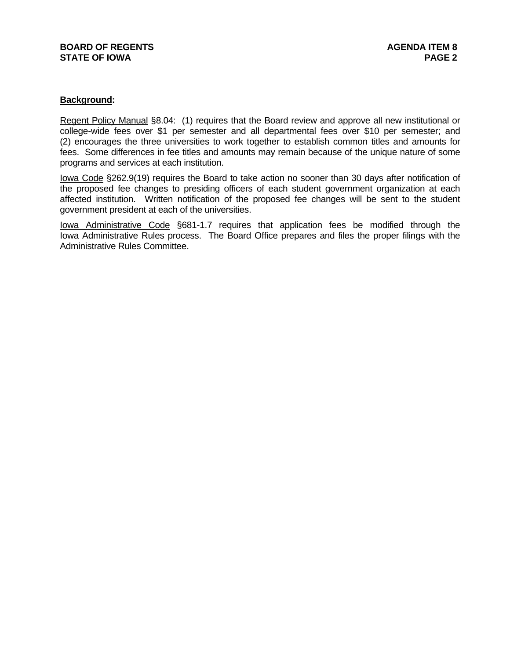# **BOARD OF REGENTS AGENTS AGENDA ITEM 8 STATE OF IOWA** PAGE 2

# **Background:**

Regent Policy Manual §8.04: (1) requires that the Board review and approve all new institutional or college-wide fees over \$1 per semester and all departmental fees over \$10 per semester; and (2) encourages the three universities to work together to establish common titles and amounts for fees. Some differences in fee titles and amounts may remain because of the unique nature of some programs and services at each institution.

Iowa Code §262.9(19) requires the Board to take action no sooner than 30 days after notification of the proposed fee changes to presiding officers of each student government organization at each affected institution. Written notification of the proposed fee changes will be sent to the student government president at each of the universities.

Iowa Administrative Code §681-1.7 requires that application fees be modified through the Iowa Administrative Rules process. The Board Office prepares and files the proper filings with the Administrative Rules Committee.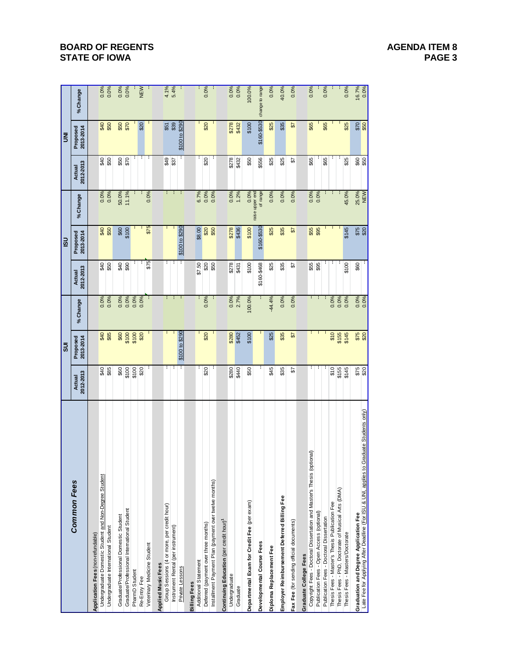# **BOARD OF REGENTS AGENUS AGENDA ITEM 8 STATE OF IOWA** PAGE 3

|                                                                                         |                     | 5UI                   |          |                     | $\overline{5}$        |                             |                     | ξ                     |                 |
|-----------------------------------------------------------------------------------------|---------------------|-----------------------|----------|---------------------|-----------------------|-----------------------------|---------------------|-----------------------|-----------------|
| <b>Common Fees</b>                                                                      | 2012-2013<br>Actual | Proposed<br>2013-2014 | % Change | 2012-2013<br>Actual | Proposed<br>2013-2014 | % Change                    | 2012-2013<br>Actual | 2013-2014<br>Proposed | % Change        |
| Application Fees (non-refundable)                                                       |                     |                       |          |                     |                       |                             |                     |                       |                 |
| Undergraduate Domestic Student and Non-Degree Student                                   | \$40                | \$40                  | 0.0%     | \$40                | \$40                  | 0.0%                        | \$40                |                       | 0.0%            |
| Undergraduate International Student                                                     | \$85                | \$85                  | 0.0%     | \$50                | \$50                  | 0.0%                        | \$50                | <b>\$50</b>           | 0.0%            |
| Graduate/Professional Domestic Student                                                  | \$60                | \$60                  | 0.0%     |                     |                       | 50.0%                       |                     |                       | 0.0%            |
| Graduate/Professional International Student                                             | \$100               | \$100                 | 0.0%     | $rac{6}{3}$         | \$100                 | 11.1%                       | $rac{60}{570}$      | \$50<br>\$70          | 0.0%            |
| PharmD Student                                                                          | \$100               | \$100                 | 0.0%     |                     |                       |                             |                     |                       |                 |
| Re-Entry Fee                                                                            | \$20                | \$20                  | 0.0%     |                     |                       |                             |                     | \$20                  | NEW             |
| Veterinary Medicine Student                                                             |                     |                       |          | \$75                | \$75                  | 0.0%                        |                     |                       | ÷,              |
| <b>Applied Music Fees</b>                                                               |                     |                       |          |                     |                       |                             |                     |                       |                 |
| Group Sessions (4 or more, per credit hour)                                             | т                   |                       | H.       | ł.                  |                       | г                           |                     | \$51                  | 4.1%            |
| Instrument Rental (per instrument)                                                      | ÷                   |                       | н.       | ÷                   |                       | л.                          | $rac{26}{33}$       | \$39                  | 5.4%            |
| Private Lessons                                                                         | Ŧ                   | \$100 to \$290        |          |                     | \$100 to \$290        | ÷                           |                     | \$100 to \$290        |                 |
| <b>Billing Fees</b>                                                                     |                     |                       |          |                     |                       |                             |                     |                       |                 |
| Additional Statement                                                                    |                     |                       | н        | \$7.50              | \$8.00                | 6.7%                        |                     |                       | I,              |
| Deferred (payment over three months)                                                    | \$20                | \$20                  | 0.0%     | \$20                | \$20                  | 0.0%                        | \$20                | \$20                  | 0.0%            |
| Installment Payment Plan (payment over twelve months)                                   |                     |                       |          | \$50                | \$50                  | 0.0%                        |                     |                       |                 |
| Continuing Education (per credit hour) <sup>1</sup>                                     |                     |                       |          |                     |                       |                             |                     |                       |                 |
| Undergraduate                                                                           | \$280               | \$280                 | 0.0%     | \$278               | \$278                 | 0.0%                        | \$278               | \$278                 | 0.0%            |
| Graduate                                                                                | \$440               | \$452                 | 2.7%     | \$431               | \$436                 | 1.2%                        | \$432               | \$432                 | 0.0%            |
| Departmental Exam for Credit Fee (per exam)                                             | \$50                | \$100                 | 100.0%   | \$100               | \$100                 | 0.0%                        | \$50                | \$100                 | 100.0%          |
| Developmental Course Fees                                                               | ÷                   |                       |          | \$160-\$468         | \$160-\$530           | of range<br>raise upper end | \$556               | \$160-\$530           | change to range |
| Diploma Replacement Fee                                                                 | \$45                | \$25                  | 44.4%    | \$25                | \$25                  | 0.0%                        | \$25                | \$25                  | 0.0%            |
| Employer Reimbursement Deferred Billing Fee                                             | \$35                | \$35                  | 0.0%     | \$35                | \$35                  | 0.0%                        | \$25                | \$35                  | 40.0%           |
| Fax Fee (for sending official documents)                                                | ₷                   | 57                    | 0.0%     | ₷                   | 57                    | 0.0%                        | ₷                   | ₷                     | 0.0%            |
| Graduate College Fees                                                                   |                     |                       |          |                     |                       |                             |                     |                       |                 |
| Copyright Fees - Doctoral Dissertation and Master's Thesis (optional)                   | ÷,                  | ŧ.                    | ÷.       | \$55                | \$55<br>\$95          | 0.0%                        | \$65                | \$65                  | 0.0%            |
| Publication Fees - Open Access (optional)                                               | I,                  | ÷                     | ÷,       | \$95                |                       | 0.0%                        |                     |                       | ł,              |
| Publication Fees - Doctoral Dissertation                                                |                     | ÷                     | ÷        |                     | ł.                    |                             | \$65                | \$65                  | 0.0%            |
| Thesis Fees - Master's Thesis Publication Fee                                           | \$10                | \$10                  | 0.0%     |                     |                       |                             |                     |                       | J.              |
| Thesis Fees - PhD, Doctorate of Musical Arts (DMA)                                      | \$155               | \$155                 | 0.0%     |                     |                       |                             |                     |                       |                 |
| Thesis Fees - Masters/Doctorate                                                         | \$145               | \$145                 | 0.0%     | \$100               | \$145                 | 45.0%                       | \$25                | \$25                  | 0.0%            |
| <b>Graduation and Degree Application Fee</b>                                            |                     | \$75                  | 0.0%     | \$60                |                       | 25.0%<br>NEW                |                     |                       | 16.7%           |
| Late Fee for Applying After Deadline (For ISU & UNI, applies to Graduate Students only) | \$75                |                       |          |                     | \$75<br>\$20          |                             | \$60                | $rac{6}{100}$         | 0.0%            |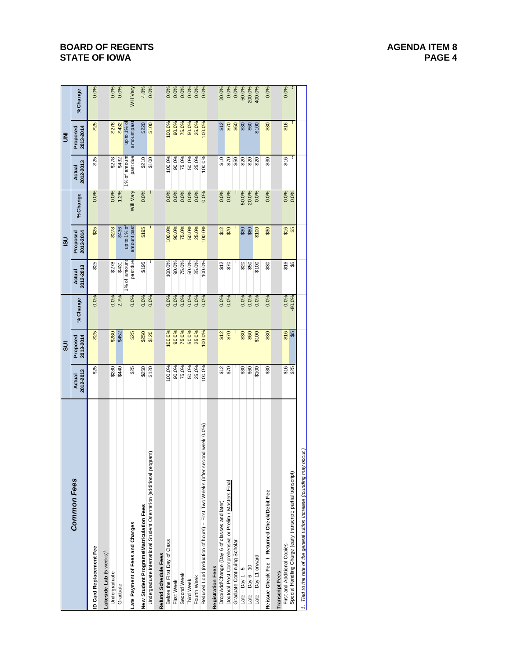# **BOARD OF REGENTS AGENUS AGENERATE AGENUS AGENUA ITEM 8 STATE OF IOWA** PAGE 4

|                                                                               |                            | $\overline{5}$        |          |                     | $\frac{1}{2}$                           |           |                     | $\bar{\mathsf{s}}$    |           |
|-------------------------------------------------------------------------------|----------------------------|-----------------------|----------|---------------------|-----------------------------------------|-----------|---------------------|-----------------------|-----------|
| <b>Common Fees</b>                                                            | 2012-2013<br><b>Actual</b> | 2013-2014<br>Proposed | % Change | 2012-2013<br>Actual | 2013-2014<br>Proposed                   | %Change   | 2012-2013<br>Actual | Proposed<br>2013-2014 | %Change   |
| D Card Replacement Fee                                                        | \$25                       | \$25                  | 0.0%     | \$25                | \$25                                    | 0.0%      | \$25                | \$25                  | 0.0%      |
| -akeside Lab (5 weeks) <sup>1</sup>                                           |                            |                       |          |                     |                                         |           |                     |                       |           |
| Undergraduate                                                                 | \$280                      | \$280                 | 0.0%     | \$278               | \$278                                   | 0.0%      | \$278               | \$278                 | 0.0%      |
| Graduate                                                                      | \$440                      | \$452                 | 2.7%     | \$431               | \$436                                   | 1.2%      | \$432               | \$432                 | 0.0%      |
|                                                                               |                            |                       |          | 1% of amount        | up to 1% of                             |           | 1% of amoun         | up to 1% of           |           |
| Late Payment of Fees and Charges                                              | \$25                       | \$25                  | 0.0%     | pastdue             | amount past                             | Will Vary | past due            | amount past           | Will Vary |
| New Student Programs/Matriculation Fees                                       | \$250                      | \$250                 | 0.0%     | \$195               | \$195                                   | 0.0%      | \$210               | \$220                 | 4.8%      |
| Undergraduate International Student Orientation (additional program)          | \$120                      | \$120                 | 0.0%     | t                   |                                         | I,        | \$100               | \$100                 | 0.0%      |
| Refund Schedule Fees                                                          |                            |                       |          |                     |                                         |           |                     |                       |           |
| Before the First Day of Class                                                 | 100.0%                     | 100.0%                | 0.0%     | 100.0%              | 100.0%                                  | 0.0%      | 100.0%              | 100.0%                | 0.0%      |
| First Week                                                                    | 90.0%                      | 90.0%                 | 0.0%     | 90.0%               | 90.0%                                   | 0.0%      | 90.0%               | 90.0%                 | 0.0%      |
| Second Week                                                                   | 75.0%                      | 75.0%                 | 0.0%     | 75.0%               | 75.0%                                   | 0.0%      | 75.0%               | 75.0%                 | 0.0%      |
| Third Week                                                                    | 50.0%                      | 50.0%                 | 0.0%     | 50.0%               | 50.0%                                   | 0.0%      | 50.0%               | 50.0%                 | 0.0%      |
| Fourth Week                                                                   | 25.0%                      | 25.0%                 | 0.0%     | 25.0%               | 25.0%                                   | 0.0%      | 25.0%               | 25.0%                 | 0.0%      |
| Reduced Load (reduction of hours) -- First Two Weeks (after second week 0.0%) | 100.0%                     | 100.0%                | 0.0%     | 100.0%              | 100.0%                                  | 0.0%      | 100.0%              | 100.0%                | 0.0%      |
| <b>Registration Fees</b>                                                      |                            |                       |          |                     |                                         |           |                     |                       |           |
| Drop/Add/Change (Day 6 of classes and later)                                  |                            |                       | 0.0%     | \$12                |                                         | 0.0%      | \$10                | \$12                  | 20.0%     |
| Doctoral Post Comprehensive or Prelim / Masters Final                         | $\frac{612}{570}$          | $$12$<br>$$70$        | 0.0%     | \$70                | $\frac{6}{25}$                          | 0.0%      | \$70                |                       | 0.0%      |
| Graduate Continuing Scholar                                                   |                            |                       |          |                     |                                         |           | \$50                | 8880                  | 0.0%      |
| Late -- Day $1 - 5$                                                           |                            |                       | 0.0%     |                     |                                         | 50.0%     |                     |                       | 50.0%     |
| Late $-$ Day $6 - 10$                                                         | $rac{60}{100}$             | \$80                  | 0.0%     | 880                 | $\begin{array}{c} 50 \\ 50 \end{array}$ | 20.0%     | ន្ត្ត<br>និង        |                       | 200.0%    |
| Late -- Day 11 onward                                                         | \$100                      | \$100                 | 0.0%     | \$100               | \$100                                   | 0.0%      |                     | \$100                 | 400.0%    |
| Reissue Check Fee / Returned Check/Debit Fee                                  | \$30                       | \$30                  | 0.0%     | \$30                | \$30                                    | 0.0%      | \$30                | \$30                  | 0.0%      |
| <b>Transcript Fees</b>                                                        |                            |                       |          |                     |                                         |           |                     |                       |           |
| First and Additional Copies                                                   |                            | \$16                  | 0.0%     | \$16                |                                         | 0.0%      | \$16                | \$16                  | 0.0%      |
| Special Handling Charge (early transcript; partial transcript)                | \$16                       | \$3                   | -80.0%   | \$5                 | \$16                                    | 0.0%      |                     |                       |           |
| 1. Tied to the rate of the general tuition increase (rounding may occur.)     |                            |                       |          |                     |                                         |           |                     |                       |           |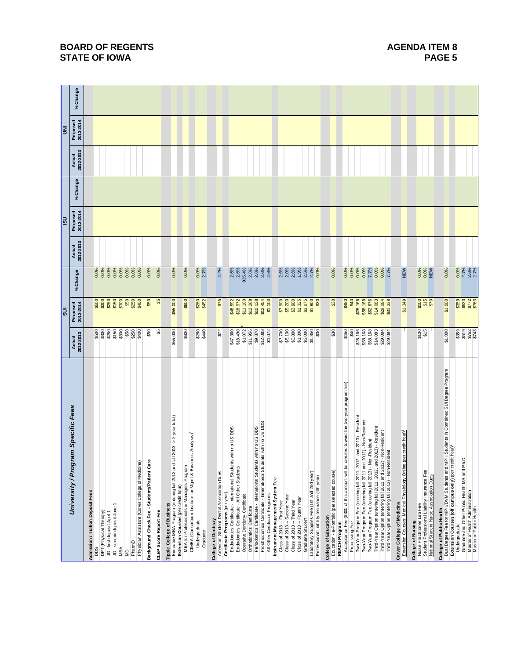|                                                                                                                                                               |                                  | ສ                                             |                              |                     | lsi                   |          |                     | Ē                     |         |
|---------------------------------------------------------------------------------------------------------------------------------------------------------------|----------------------------------|-----------------------------------------------|------------------------------|---------------------|-----------------------|----------|---------------------|-----------------------|---------|
| University / Program Specific Fees                                                                                                                            | 2012-2013<br>Actual              | Proposed<br>2013-2014                         | %Change                      | 2012-2013<br>Actual | Proposed<br>2013-2014 | % Change | 2012-2013<br>Actual | Proposed<br>2013-2014 | %Change |
| Admission / Tuition Deposit Fees                                                                                                                              |                                  |                                               |                              |                     |                       |          |                     |                       |         |
| pps                                                                                                                                                           | \$500<br>\$300                   | ខ្លួខ្លួខ្លួខ្លួខ្លួ<br>ឆ្លូខ្លួន្ទ និន្ទ     | 0.0%<br>0.0%<br>0.00         |                     |                       |          |                     |                       |         |
| DPT (Physical Therapy)<br>JD - first deposit April 1                                                                                                          | \$250                            |                                               |                              |                     |                       |          |                     |                       |         |
| JD - second deposit June 1                                                                                                                                    |                                  |                                               | 0.0%                         |                     |                       |          |                     |                       |         |
| MBA                                                                                                                                                           | \$150<br>\$300                   |                                               | 0.0%                         |                     |                       |          |                     |                       |         |
| ŝ                                                                                                                                                             | \$50                             |                                               | 0.0%                         |                     |                       |          |                     |                       |         |
| Physician Assistant (Carver College of Medicine)<br>PharmD                                                                                                    | \$250<br>\$400                   | \$400                                         | 0.0%<br>0.0%                 |                     |                       |          |                     |                       |         |
| Background Check Fee - Students/Patient Care                                                                                                                  | \$50                             | \$50                                          | 0.0%                         |                     |                       |          |                     |                       |         |
|                                                                                                                                                               |                                  |                                               |                              |                     |                       |          |                     |                       |         |
| <b>CLEP Score Report Fee</b>                                                                                                                                  | \$5                              | န္တ                                           | 0.0%                         |                     |                       |          |                     |                       |         |
| Executive MBA Program (entering fall 2012 and fall 2013-> 2-year total)<br>Tippie College of Business                                                         | \$55,000                         | \$55,000                                      | 0.0%                         |                     |                       |          |                     |                       |         |
| MBA for Professionals & Managers Program<br>Extension Courses (per credit hour)                                                                               | \$600                            | \$600                                         | 0.0%                         |                     |                       |          |                     |                       |         |
| CIMBA (Consortium Institute for Mgmt & Business Analysis)                                                                                                     |                                  |                                               |                              |                     |                       |          |                     |                       |         |
| Undergraduate                                                                                                                                                 | \$440                            | \$280                                         | 0.0%                         |                     |                       |          |                     |                       |         |
| Graduate                                                                                                                                                      |                                  | \$452                                         | 2.7%                         |                     |                       |          |                     |                       |         |
| College of Dentistry                                                                                                                                          |                                  |                                               |                              |                     |                       |          |                     |                       |         |
| American Student Dental Association Dues                                                                                                                      | \$72                             | \$75                                          | 4.2%                         |                     |                       |          |                     |                       |         |
| Certificate Programs (per year)                                                                                                                               |                                  |                                               |                              |                     |                       |          |                     |                       |         |
| with no US DDS<br>Endodontics Certificate - International Students<br>Endodontics Certificate - All Other Students                                            | \$47,360<br>\$18,490             | \$48,592<br>\$18,972                          | 2.6%<br>2.6%                 |                     |                       |          |                     |                       |         |
| Operative Dentistry Certificate                                                                                                                               | \$1,072                          | \$11,100                                      | 935.4%                       |                     |                       |          |                     |                       |         |
| Orthodontics Certificate                                                                                                                                      | \$11,956                         | \$12,268                                      | 2.6%                         |                     |                       |          |                     |                       |         |
| with no US DDS<br>Periodontics Certificate - International Students                                                                                           | \$9,870                          | \$10,128                                      |                              |                     |                       |          |                     |                       |         |
| Prosthodontics Certificate - International Students with no US DDS                                                                                            | \$12,088<br>\$1,072              | \$12,404<br>\$1,100                           | 2.6%<br>2.6%<br>2.6%         |                     |                       |          |                     |                       |         |
| All Other Certificate Programs                                                                                                                                |                                  |                                               |                              |                     |                       |          |                     |                       |         |
| Instrument Management System Fee                                                                                                                              |                                  |                                               |                              |                     |                       |          |                     |                       |         |
| Class of 2013 -- First Year                                                                                                                                   | 00<br>65,000<br>65,000<br>65,000 | \$7,900                                       | 2.6%                         |                     |                       |          |                     |                       |         |
| Class of 2013 -- Second Year                                                                                                                                  |                                  | \$5,200                                       | 2.0%                         |                     |                       |          |                     |                       |         |
| Class of 2013 -- Third Year<br>Class of 2013 -- Fourth Year                                                                                                   |                                  | 00<br>000 33<br>000 300<br>000 300<br>000 300 | 2.6%<br>1.9%                 |                     |                       |          |                     |                       |         |
| Graduate Student                                                                                                                                              |                                  |                                               | 2.5%                         |                     |                       |          |                     |                       |         |
| Laboratory Supplies Fee (1st and 2nd year)                                                                                                                    |                                  |                                               |                              |                     |                       |          |                     |                       |         |
| Professional Liability Insurance (4th year)                                                                                                                   | \$1,850<br>\$30                  |                                               | $2.7%$<br>$0.0%$             |                     |                       |          |                     |                       |         |
| College of Education                                                                                                                                          |                                  |                                               |                              |                     |                       |          |                     |                       |         |
| Education - e-Portfolio (per selected course)                                                                                                                 | \$30                             | \$30                                          | 0.0%                         |                     |                       |          |                     |                       |         |
| REACH Program                                                                                                                                                 |                                  |                                               |                              |                     |                       |          |                     |                       |         |
| Acceptance Fee (\$300 of this amount will be credited toward the two-year program fee)                                                                        | \$450                            | \$450                                         | 0.0%                         |                     |                       |          |                     |                       |         |
| Processing Fee                                                                                                                                                | $\frac{6}{3}$                    | \$40                                          | 0.0%                         |                     |                       |          |                     |                       |         |
| and 2013) - Resident<br>Two-Year Program Fee (entering fall 2011, 2012,                                                                                       | \$28,166                         | \$28,166                                      | 0.0%                         |                     |                       |          |                     |                       |         |
| Two-Year Program Fee (entering fall 2011 and 2012) - Non-Resident<br>Two-Year Program Fee (entering fall 2013) - Non-Resident                                 | \$58,168<br>\$58,168             | \$58,168<br>\$62,676                          | 0.0%                         |                     |                       |          |                     |                       |         |
| Third-Year Option (entering fall 2011, 2012, and 2013) - Resident                                                                                             | \$14,083                         |                                               | 7.7%<br>0.0%                 |                     |                       |          |                     |                       |         |
| Non-Resident<br>Third-Year Option (entering fall 2011 and 2012) -                                                                                             | \$29,084                         |                                               |                              |                     |                       |          |                     |                       |         |
| Third-Year Option (entering fall 2013) - Non-Resident                                                                                                         | \$29,084                         | \$14,083<br>\$29,084<br>\$31,338              | $0.0\%$<br>7.7%              |                     |                       |          |                     |                       |         |
| Carver College of Medicine                                                                                                                                    |                                  |                                               |                              |                     |                       |          |                     |                       |         |
| Extension Courses: Medical Physiology Online (per credit hour)                                                                                                |                                  | \$1,349                                       | NEW                          |                     |                       |          |                     |                       |         |
| College of Nursing                                                                                                                                            |                                  |                                               |                              |                     |                       |          |                     |                       |         |
| Student Professional Liability Insurance Fee<br>Nurse Practitioner Lab Fee                                                                                    | <b>8100</b><br>\$15              | $8100$<br>$$15$<br>$$70$                      | 0.0%<br>0.0%<br>NEW          |                     |                       |          |                     |                       |         |
| National Student Nurse Association Dues                                                                                                                       |                                  |                                               |                              |                     |                       |          |                     |                       |         |
| College of Public Health                                                                                                                                      |                                  |                                               |                              |                     |                       |          |                     |                       |         |
| Dual Degree Fee for MPH/DVM Students and MPH Students in Combined SUI Degree Program<br>hour) <sup>1</sup><br>Extension Courses (off campus only) (per credit | \$1,000                          | \$1,000                                       | 0.0%                         |                     |                       |          |                     |                       |         |
| Undergraduate                                                                                                                                                 |                                  |                                               |                              |                     |                       |          |                     |                       |         |
| Graduate and Other Public Health MS and Ph.D                                                                                                                  | ទី ១ ១ ១ ១<br>និង ១ ១ ១          | <b>33328</b><br>33528                         | 0.0%<br>2.7%<br>2.6%<br>2.7% |                     |                       |          |                     |                       |         |
| Master of Health Administration<br>Master of Public Health                                                                                                    |                                  |                                               |                              |                     |                       |          |                     |                       |         |
|                                                                                                                                                               |                                  |                                               |                              |                     |                       |          |                     |                       |         |

# **BOARD OF REGENTS AGENUS AGENERATE AGENUS AGENUA ITEM 8 STATE OF IOWA** PAGE 5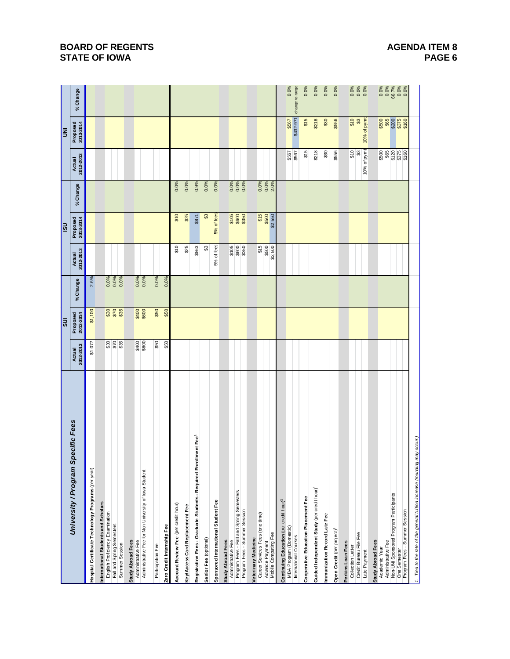|                                                                                  |                     | $\overline{\overline{\overline{}}}$ |              |                     | <b>USI</b>               |                      |                     | $\bar{\mathbf{z}}$              |                               |
|----------------------------------------------------------------------------------|---------------------|-------------------------------------|--------------|---------------------|--------------------------|----------------------|---------------------|---------------------------------|-------------------------------|
| University / Program Specific Fees                                               | Actual<br>2012-2013 | Proposed<br>2013-2014               | % Change     | Actual<br>2012-2013 | Proposed<br>2013-2014    | % Change             | Actual<br>2012-2013 | Proposed<br>2013-2014           | % Change                      |
| Hospital Certificate Technology Programs (per year)                              | \$1,072             | \$1,100                             | 2.6%         |                     |                          |                      |                     |                                 |                               |
| nternational Students and Scholars                                               |                     |                                     |              |                     |                          |                      |                     |                                 |                               |
| English Proficiency Examination                                                  |                     |                                     | 0.0%         |                     |                          |                      |                     |                                 |                               |
| Fall and Spring Semesters                                                        |                     | <b>828</b><br>838                   | 0.0%<br>0.0% |                     |                          |                      |                     |                                 |                               |
| Summer Session                                                                   |                     |                                     |              |                     |                          |                      |                     |                                 |                               |
| <b>Study Abroad Fees</b>                                                         |                     |                                     |              |                     |                          |                      |                     |                                 |                               |
| Administrative Fee                                                               | \$400<br>\$600      | \$400<br>\$600                      | 0.0%<br>0.0% |                     |                          |                      |                     |                                 |                               |
| Administrative Fee for Non University of lowa Student                            |                     |                                     |              |                     |                          |                      |                     |                                 |                               |
| Participation Fee                                                                | \$50                | \$50                                | 0.0%         |                     |                          |                      |                     |                                 |                               |
| Zero Credit Internship Fee                                                       | \$50                | \$50                                | 0.0%         |                     |                          |                      |                     |                                 |                               |
| Account Review Fee (per credit hour)                                             |                     |                                     |              | \$10                | \$10                     | 0.0%                 |                     |                                 |                               |
| Key/Access Card Replacement Fee                                                  |                     |                                     |              | \$25                | \$25                     | 0.0%                 |                     |                                 |                               |
| Iment Fee <sup>1</sup><br>Registration Fees - Graduate Students - Required Enrol |                     |                                     |              | \$863               | \$871                    | 0.9%                 |                     |                                 |                               |
| Senior Fee (optional)                                                            |                     |                                     |              | ℬ                   | $\mathfrak{S}$           | 0.0%                 |                     |                                 |                               |
| Sponsored International Student Fee                                              |                     |                                     |              | 5% of fees          | 5% of fees               | 0.0%                 |                     |                                 |                               |
|                                                                                  |                     |                                     |              |                     |                          |                      |                     |                                 |                               |
| <b>Study Abroad Fees</b>                                                         |                     |                                     |              |                     |                          |                      |                     |                                 |                               |
| Program Fees - Fall and Spring Semesters<br>Administrative Fee                   |                     |                                     |              | \$105               |                          |                      |                     |                                 |                               |
| Program Fees - Summer Session                                                    |                     |                                     |              | \$800<br>\$350      | 5105<br>\$800<br>\$8350  | 0.0%<br>0.0%         |                     |                                 |                               |
| Veterinary Medicine                                                              |                     |                                     |              |                     |                          |                      |                     |                                 |                               |
| Career Services Fees (one time)                                                  |                     |                                     |              | \$15                |                          |                      |                     |                                 |                               |
| Advance Payment                                                                  |                     |                                     |              | \$500               | \$15<br>\$500<br>\$2,550 | 0.0%<br>0.0%<br>2.0% |                     |                                 |                               |
| Mobile Computing Fee                                                             |                     |                                     |              | \$2,500             |                          |                      |                     |                                 |                               |
| Continuing Education (per credit hour) <sup>1</sup>                              |                     |                                     |              |                     |                          |                      |                     |                                 |                               |
| <b>MBA Program (Domestic)</b>                                                    |                     |                                     |              |                     |                          |                      | \$567<br>\$567      | \$567                           | 0.0%                          |
| International Courses                                                            |                     |                                     |              |                     |                          |                      |                     | \$432-97                        | change to range               |
| Cooperative Education Placement Fee                                              |                     |                                     |              |                     |                          |                      | \$15                | \$15                            | 0.0%                          |
| Guided Independent Study (per credit hour) <sup>1</sup>                          |                     |                                     |              |                     |                          |                      | \$218               | \$218                           | 0.0%                          |
| Immunization Record Late Fee                                                     |                     |                                     |              |                     |                          |                      | \$30                | \$30                            | 0.0%                          |
| Open Credit (per project) <sup>1</sup>                                           |                     |                                     |              |                     |                          |                      | \$556               | \$556                           | 0.0%                          |
| Perkins Loan Fees                                                                |                     |                                     |              |                     |                          |                      |                     |                                 |                               |
| Collection Letter                                                                |                     |                                     |              |                     |                          |                      |                     |                                 |                               |
| Credit Bureau File Fee                                                           |                     |                                     |              |                     |                          |                      | $rac{6}{3}$         | \$10<br>\$3<br>10% of pymt      | $0.0\%$<br>$0.0\%$<br>$0.0\%$ |
| Late Payment                                                                     |                     |                                     |              |                     |                          |                      | 10% of pymt         |                                 |                               |
| <b>Study Abroad Fees</b>                                                         |                     |                                     |              |                     |                          |                      |                     |                                 |                               |
| Administrative Fee<br>Academic Year                                              |                     |                                     |              |                     |                          |                      | \$65<br>\$500       |                                 | 0.0%                          |
| Non-UNI Sponsored Program Participants                                           |                     |                                     |              |                     |                          |                      |                     |                                 |                               |
|                                                                                  |                     |                                     |              |                     |                          |                      | <u>ង ខេ</u><br>ឆនន  | <b>3500<br/>36500<br/>37500</b> | 66.7%<br>0.0%<br>0.0%         |
| One Semester<br>Program Fees - Summer Session                                    |                     |                                     |              |                     |                          |                      |                     |                                 |                               |
| 1. Tied to the rate of the general tuition increase (rounding may occur.)        |                     |                                     |              |                     |                          |                      |                     |                                 |                               |

# **BOARD OF REGENTS BOARD OF REGENTS STATE OF IOWA** PAGE 6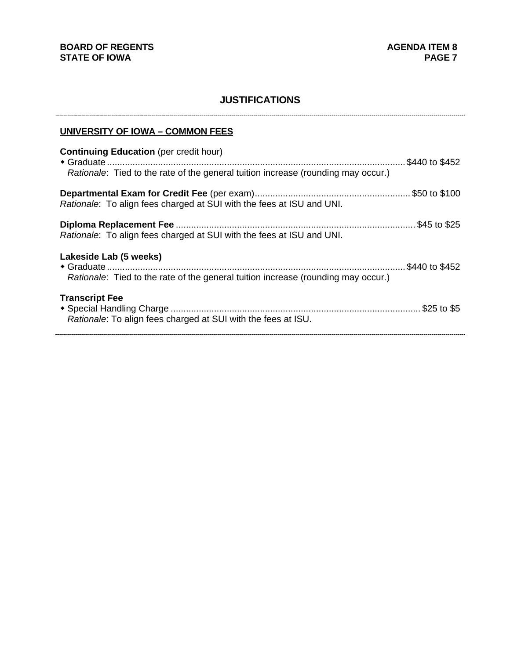# **JUSTIFICATIONS**

# **UNIVERSITY OF IOWA – COMMON FEES**

| <b>Continuing Education</b> (per credit hour)                                                               | .\$440 to \$452 |
|-------------------------------------------------------------------------------------------------------------|-----------------|
| Rationale: Tied to the rate of the general tuition increase (rounding may occur.)                           |                 |
| Rationale: To align fees charged at SUI with the fees at ISU and UNI.                                       |                 |
| Rationale: To align fees charged at SUI with the fees at ISU and UNI.                                       |                 |
| Lakeside Lab (5 weeks)<br>Rationale: Tied to the rate of the general tuition increase (rounding may occur.) |                 |
| <b>Transcript Fee</b><br>Rationale: To align fees charged at SUI with the fees at ISU.                      |                 |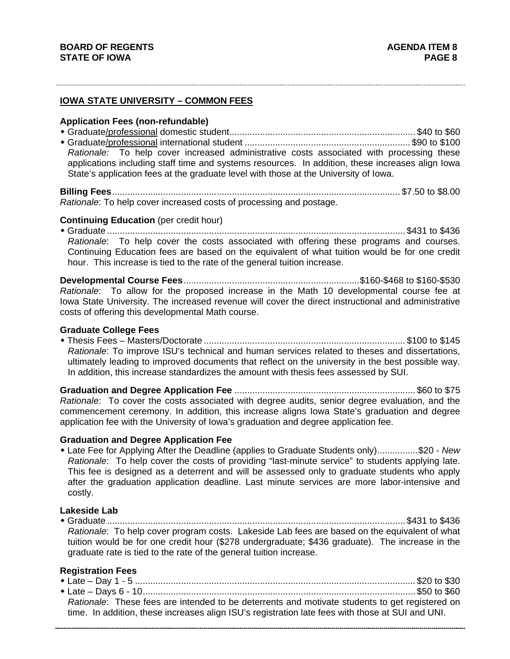# **IOWA STATE UNIVERSITY – COMMON FEES**

#### **Application Fees (non-refundable)**

 Graduate/professional domestic student......................................................................... \$40 to \$60 Graduate/professional international student ................................................................. \$90 to \$100 *Rationale:* To help cover increased administrative costs associated with processing these applications including staff time and systems resources. In addition, these increases align Iowa State's application fees at the graduate level with those at the University of Iowa.

**Billing Fees** ................................................................................................................. \$7.50 to \$8.00 *Rationale*: To help cover increased costs of processing and postage.

### **Continuing Education** (per credit hour)

 Graduate ..................................................................................................................... \$431 to \$436 *Rationale*: To help cover the costs associated with offering these programs and courses. Continuing Education fees are based on the equivalent of what tuition would be for one credit hour. This increase is tied to the rate of the general tuition increase.

**Developmental Course Fees** ..................................................................... \$160-\$468 to \$160-\$530 *Rationale*: To allow for the proposed increase in the Math 10 developmental course fee at Iowa State University. The increased revenue will cover the direct instructional and administrative costs of offering this developmental Math course.

#### **Graduate College Fees**

 Thesis Fees – Masters/Doctorate ............................................................................... \$100 to \$145 *Rationale*: To improve ISU's technical and human services related to theses and dissertations, ultimately leading to improved documents that reflect on the university in the best possible way. In addition, this increase standardizes the amount with thesis fees assessed by SUI.

**Graduation and Degree Application Fee** ....................................................................... \$60 to \$75 *Rationale*: To cover the costs associated with degree audits, senior degree evaluation, and the commencement ceremony. In addition, this increase aligns Iowa State's graduation and degree application fee with the University of Iowa's graduation and degree application fee.

### **Graduation and Degree Application Fee**

 Late Fee for Applying After the Deadline (applies to Graduate Students only) ................ \$20 - *New Rationale*: To help cover the costs of providing "last-minute service" to students applying late. This fee is designed as a deterrent and will be assessed only to graduate students who apply after the graduation application deadline. Last minute services are more labor-intensive and costly.

# **Lakeside Lab**

 Graduate ..................................................................................................................... \$431 to \$436 *Rationale*: To help cover program costs. Lakeside Lab fees are based on the equivalent of what tuition would be for one credit hour (\$278 undergraduate; \$436 graduate). The increase in the graduate rate is tied to the rate of the general tuition increase.

# **Registration Fees**

| Rationale: These fees are intended to be deterrents and motivate students to get registered on   |  |
|--------------------------------------------------------------------------------------------------|--|
| time. In addition, these increases align ISU's registration late fees with those at SUI and UNI. |  |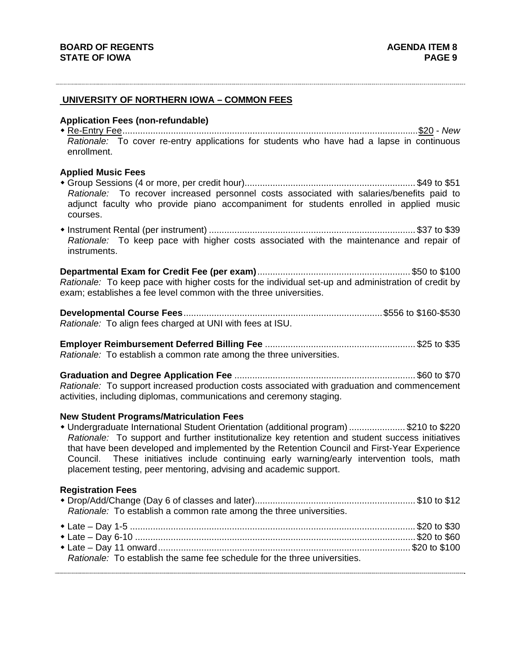# **UNIVERSITY OF NORTHERN IOWA – COMMON FEES**

#### **Application Fees (non-refundable)**

 Re-Entry Fee .................................................................................................................... \$20 - *New Rationale:* To cover re-entry applications for students who have had a lapse in continuous enrollment.

### **Applied Music Fees**

- Group Sessions (4 or more, per credit hour)................................................................... \$49 to \$51 *Rationale:* To recover increased personnel costs associated with salaries/benefits paid to adjunct faculty who provide piano accompaniment for students enrolled in applied music courses.
- Instrument Rental (per instrument) ................................................................................. \$37 to \$39 *Rationale:* To keep pace with higher costs associated with the maintenance and repair of instruments.

**Departmental Exam for Credit Fee (per exam)** ............................................................ \$50 to \$100 *Rationale:* To keep pace with higher costs for the individual set-up and administration of credit by exam; establishes a fee level common with the three universities.

**Developmental Course Fees** .............................................................................. \$556 to \$160-\$530 *Rationale:* To align fees charged at UNI with fees at ISU.

**Employer Reimbursement Deferred Billing Fee** ........................................................... \$25 to \$35 *Rationale:* To establish a common rate among the three universities.

**Graduation and Degree Application Fee** ....................................................................... \$60 to \$70 *Rationale:* To support increased production costs associated with graduation and commencement activities, including diplomas, communications and ceremony staging.

#### **New Student Programs/Matriculation Fees**

 Undergraduate International Student Orientation (additional program) ...................... \$210 to \$220 *Rationale:* To support and further institutionalize key retention and student success initiatives that have been developed and implemented by the Retention Council and First-Year Experience Council. These initiatives include continuing early warning/early intervention tools, math placement testing, peer mentoring, advising and academic support.

#### **Registration Fees**

| Rationale: To establish a common rate among the three universities.       |  |
|---------------------------------------------------------------------------|--|
| Rationale: To establish the same fee schedule for the three universities. |  |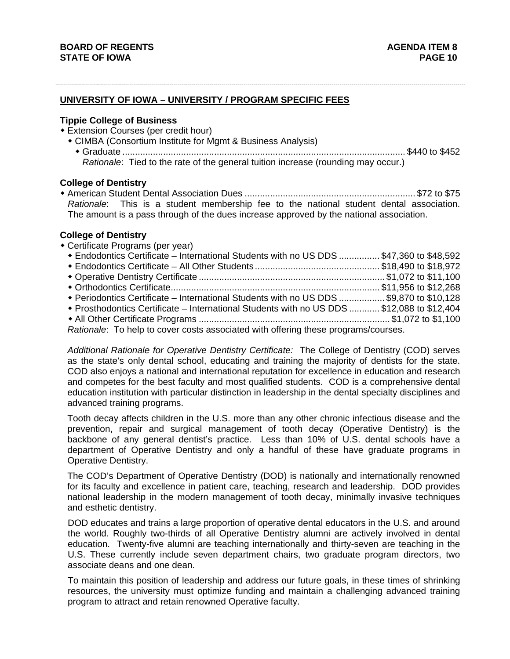# **UNIVERSITY OF IOWA – UNIVERSITY / PROGRAM SPECIFIC FEES**

### **Tippie College of Business**

- Extension Courses (per credit hour)
	- CIMBA (Consortium Institute for Mgmt & Business Analysis)
		- Graduate ............................................................................................................... \$440 to \$452 *Rationale*: Tied to the rate of the general tuition increase (rounding may occur.)

### **College of Dentistry**

 American Student Dental Association Dues ................................................................... \$72 to \$75 *Rationale*: This is a student membership fee to the national student dental association. The amount is a pass through of the dues increase approved by the national association.

#### **College of Dentistry**

 Certificate Programs (per year) Endodontics Certificate – International Students with no US DDS ................ \$47,360 to \$48,592 Endodontics Certificate – All Other Students ................................................. \$18,490 to \$18,972 Operative Dentistry Certificate ......................................................................... \$1,072 to \$11,100 Orthodontics Certificate .................................................................................. \$11,956 to \$12,268 Periodontics Certificate – International Students with no US DDS .................. \$9,870 to \$10,128 Prosthodontics Certificate – International Students with no US DDS ............ \$12,088 to \$12,404 All Other Certificate Programs ........................................................................... \$1,072 to \$1,100  *Rationale*: To help to cover costs associated with offering these programs/courses.

*Additional Rationale for Operative Dentistry Certificate:* The College of Dentistry (COD) serves as the state's only dental school, educating and training the majority of dentists for the state. COD also enjoys a national and international reputation for excellence in education and research and competes for the best faculty and most qualified students. COD is a comprehensive dental education institution with particular distinction in leadership in the dental specialty disciplines and advanced training programs.

Tooth decay affects children in the U.S. more than any other chronic infectious disease and the prevention, repair and surgical management of tooth decay (Operative Dentistry) is the backbone of any general dentist's practice. Less than 10% of U.S. dental schools have a department of Operative Dentistry and only a handful of these have graduate programs in Operative Dentistry.

The COD's Department of Operative Dentistry (DOD) is nationally and internationally renowned for its faculty and excellence in patient care, teaching, research and leadership. DOD provides national leadership in the modern management of tooth decay, minimally invasive techniques and esthetic dentistry.

DOD educates and trains a large proportion of operative dental educators in the U.S. and around the world. Roughly two-thirds of all Operative Dentistry alumni are actively involved in dental education. Twenty-five alumni are teaching internationally and thirty-seven are teaching in the U.S. These currently include seven department chairs, two graduate program directors, two associate deans and one dean.

To maintain this position of leadership and address our future goals, in these times of shrinking resources, the university must optimize funding and maintain a challenging advanced training program to attract and retain renowned Operative faculty.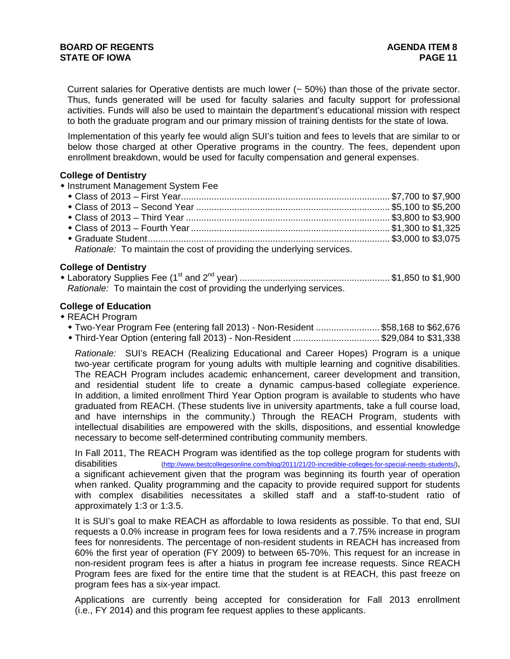Current salaries for Operative dentists are much lower (~ 50%) than those of the private sector. Thus, funds generated will be used for faculty salaries and faculty support for professional activities. Funds will also be used to maintain the department's educational mission with respect to both the graduate program and our primary mission of training dentists for the state of Iowa.

Implementation of this yearly fee would align SUI's tuition and fees to levels that are similar to or below those charged at other Operative programs in the country. The fees, dependent upon enrollment breakdown, would be used for faculty compensation and general expenses.

# **College of Dentistry**

**• Instrument Management System Fee** 

| Rationale: To maintain the cost of providing the underlying services. |  |
|-----------------------------------------------------------------------|--|

## **College of Dentistry**

 Laboratory Supplies Fee (1st and 2nd year) ........................................................... \$1,850 to \$1,900  *Rationale:* To maintain the cost of providing the underlying services.

# **College of Education**

- REACH Program
	- Two-Year Program Fee (entering fall 2013) Non-Resident ......................... \$58,168 to \$62,676
	- Third-Year Option (entering fall 2013) Non-Resident .................................. \$29,084 to \$31,338

*Rationale:* SUI's REACH (Realizing Educational and Career Hopes) Program is a unique two-year certificate program for young adults with multiple learning and cognitive disabilities. The REACH Program includes academic enhancement, career development and transition, and residential student life to create a dynamic campus-based collegiate experience. In addition, a limited enrollment Third Year Option program is available to students who have graduated from REACH. (These students live in university apartments, take a full course load, and have internships in the community.) Through the REACH Program, students with intellectual disabilities are empowered with the skills, dispositions, and essential knowledge necessary to become self-determined contributing community members.

In Fall 2011, The REACH Program was identified as the top college program for students with disabilities (http://www.bestcollegesonline.com/blog/2011/21/20-incredible-colleges-for-special-needs-students/), a significant achievement given that the program was beginning its fourth year of operation when ranked. Quality programming and the capacity to provide required support for students with complex disabilities necessitates a skilled staff and a staff-to-student ratio of approximately 1:3 or 1:3.5.

It is SUI's goal to make REACH as affordable to Iowa residents as possible. To that end, SUI requests a 0.0% increase in program fees for Iowa residents and a 7.75% increase in program fees for nonresidents. The percentage of non-resident students in REACH has increased from 60% the first year of operation (FY 2009) to between 65-70%. This request for an increase in non-resident program fees is after a hiatus in program fee increase requests. Since REACH Program fees are fixed for the entire time that the student is at REACH, this past freeze on program fees has a six-year impact.

Applications are currently being accepted for consideration for Fall 2013 enrollment (i.e., FY 2014) and this program fee request applies to these applicants.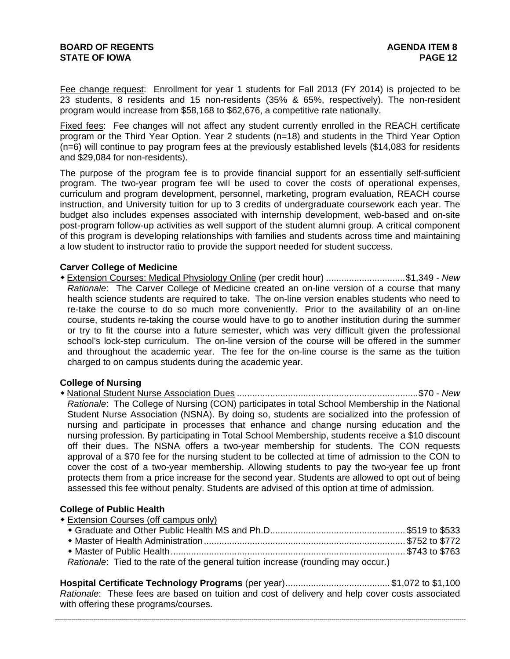# **BOARD OF REGENTS AGENTS AGENERATION CONSUMING AGENDA ITEM 8 STATE OF IOWA** PAGE 12

Fee change request: Enrollment for year 1 students for Fall 2013 (FY 2014) is projected to be 23 students, 8 residents and 15 non-residents (35% & 65%, respectively). The non-resident program would increase from \$58,168 to \$62,676, a competitive rate nationally.

Fixed fees: Fee changes will not affect any student currently enrolled in the REACH certificate program or the Third Year Option. Year 2 students (n=18) and students in the Third Year Option (n=6) will continue to pay program fees at the previously established levels (\$14,083 for residents and \$29,084 for non-residents).

The purpose of the program fee is to provide financial support for an essentially self-sufficient program. The two-year program fee will be used to cover the costs of operational expenses, curriculum and program development, personnel, marketing, program evaluation, REACH course instruction, and University tuition for up to 3 credits of undergraduate coursework each year. The budget also includes expenses associated with internship development, web-based and on-site post-program follow-up activities as well support of the student alumni group. A critical component of this program is developing relationships with families and students across time and maintaining a low student to instructor ratio to provide the support needed for student success.

## **Carver College of Medicine**

 Extension Courses: Medical Physiology Online (per credit hour) ............................... \$1,349 - *New Rationale*: The Carver College of Medicine created an on-line version of a course that many health science students are required to take. The on-line version enables students who need to re-take the course to do so much more conveniently. Prior to the availability of an on-line course, students re-taking the course would have to go to another institution during the summer or try to fit the course into a future semester, which was very difficult given the professional school's lock-step curriculum. The on-line version of the course will be offered in the summer and throughout the academic year. The fee for the on-line course is the same as the tuition charged to on campus students during the academic year.

#### **College of Nursing**

 National Student Nurse Association Dues ....................................................................... \$70 - *New Rationale*: The College of Nursing (CON) participates in total School Membership in the National Student Nurse Association (NSNA). By doing so, students are socialized into the profession of nursing and participate in processes that enhance and change nursing education and the nursing profession. By participating in Total School Membership, students receive a \$10 discount off their dues. The NSNA offers a two-year membership for students. The CON requests approval of a \$70 fee for the nursing student to be collected at time of admission to the CON to cover the cost of a two-year membership. Allowing students to pay the two-year fee up front protects them from a price increase for the second year. Students are allowed to opt out of being assessed this fee without penalty. Students are advised of this option at time of admission.

#### **College of Public Health**

Extension Courses (off campus only)

| Rationale: Tied to the rate of the general tuition increase (rounding may occur.) |  |
|-----------------------------------------------------------------------------------|--|

**Hospital Certificate Technology Programs** (per year) ......................................... \$1,072 to \$1,100 *Rationale*: These fees are based on tuition and cost of delivery and help cover costs associated with offering these programs/courses.